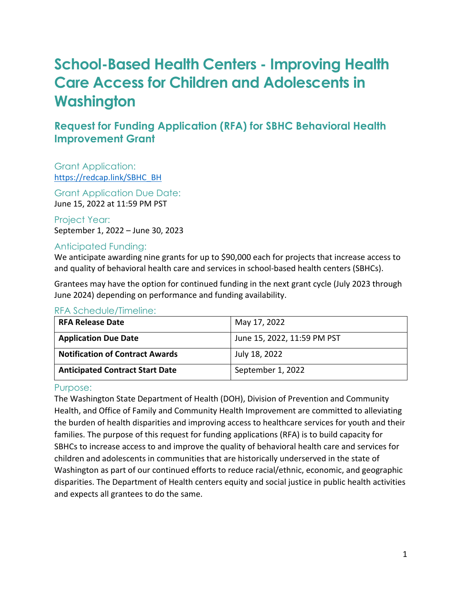# **School-Based Health Centers - Improving Health Care Access for Children and Adolescents in Washington**

# **Request for Funding Application (RFA) for SBHC Behavioral Health Improvement Grant**

Grant Application: [https://redcap.link/SBHC\\_BH](https://redcap.link/SBHC_BH) 

Grant Application Due Date: June 15, 2022 at 11:59 PM PST

Project Year: September 1, 2022 – June 30, 2023

#### Anticipated Funding:

We anticipate awarding nine grants for up to \$90,000 each for projects that increase access to and quality of behavioral health care and services in school-based health centers (SBHCs).

Grantees may have the option for continued funding in the next grant cycle (July 2023 through June 2024) depending on performance and funding availability.

| <b>RFA Release Date</b>                | May 17, 2022                |
|----------------------------------------|-----------------------------|
| <b>Application Due Date</b>            | June 15, 2022, 11:59 PM PST |
| <b>Notification of Contract Awards</b> | July 18, 2022               |
| <b>Anticipated Contract Start Date</b> | September 1, 2022           |

#### RFA Schedule/Timeline:

#### Purpose:

The Washington State Department of Health (DOH), Division of Prevention and Community Health, and Office of Family and Community Health Improvement are committed to alleviating the burden of health disparities and improving access to healthcare services for youth and their families. The purpose of this request for funding applications (RFA) is to build capacity for SBHCs to increase access to and improve the quality of behavioral health care and services for children and adolescents in communities that are historically underserved in the state of Washington as part of our continued efforts to reduce racial/ethnic, economic, and geographic disparities. The Department of Health centers equity and social justice in public health activities and expects all grantees to do the same.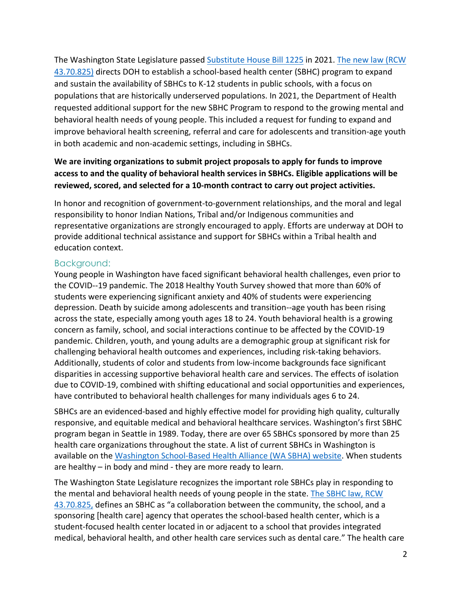The Washington State Legislature passed [Substitute House Bill 1225](https://app.leg.wa.gov/billsummary?BillNumber=1225&Year=2021) in 2021. [The new law \(RCW](https://app.leg.wa.gov/RCW/default.aspx?cite=43.70.825)  [43.70.825\)](https://app.leg.wa.gov/RCW/default.aspx?cite=43.70.825) directs DOH to establish a school-based health center (SBHC) program to expand and sustain the availability of SBHCs to K-12 students in public schools, with a focus on populations that are historically underserved populations. In 2021, the Department of Health requested additional support for the new SBHC Program to respond to the growing mental and behavioral health needs of young people. This included a request for funding to expand and improve behavioral health screening, referral and care for adolescents and transition-age youth in both academic and non-academic settings, including in SBHCs.

#### **We are inviting organizations to submit project proposals to apply for funds to improve access to and the quality of behavioral health services in SBHCs. Eligible applications will be reviewed, scored, and selected for a 10-month contract to carry out project activities.**

In honor and recognition of government-to-government relationships, and the moral and legal responsibility to honor Indian Nations, Tribal and/or Indigenous communities and representative organizations are strongly encouraged to apply. Efforts are underway at DOH to provide additional technical assistance and support for SBHCs within a Tribal health and education context.

#### Background:

Young people in Washington have faced significant behavioral health challenges, even prior to the COVID--19 pandemic. The 2018 Healthy Youth Survey showed that more than 60% of students were experiencing significant anxiety and 40% of students were experiencing depression. Death by suicide among adolescents and transition--age youth has been rising across the state, especially among youth ages 18 to 24. Youth behavioral health is a growing concern as family, school, and social interactions continue to be affected by the COVID-19 pandemic. Children, youth, and young adults are a demographic group at significant risk for challenging behavioral health outcomes and experiences, including risk-taking behaviors. Additionally, students of color and students from low-income backgrounds face significant disparities in accessing supportive behavioral health care and services. The effects of isolation due to COVID-19, combined with shifting educational and social opportunities and experiences, have contributed to behavioral health challenges for many individuals ages 6 to 24.

SBHCs are an evidenced-based and highly effective model for providing high quality, culturally responsive, and equitable medical and behavioral healthcare services. Washington's first SBHC program began in Seattle in 1989. Today, there are over 65 SBHCs sponsored by more than 25 health care organizations throughout the state. A list of current SBHCs in Washington is available on the [Washington School-Based Health Alliance \(WA SBHA\) website.](https://wasbha.org/sbhcs-in-washington-2/) When students are healthy – in body and mind - they are more ready to learn.

The Washington State Legislature recognizes the important role SBHCs play in responding to the mental and behavioral health needs of young people in the state. [The SBHC law, RCW](https://app.leg.wa.gov/RCW/default.aspx?cite=43.70.825)  [43.70.825,](https://app.leg.wa.gov/RCW/default.aspx?cite=43.70.825) defines an SBHC as "a collaboration between the community, the school, and a sponsoring [health care] agency that operates the school-based health center, which is a student-focused health center located in or adjacent to a school that provides integrated medical, behavioral health, and other health care services such as dental care." The health care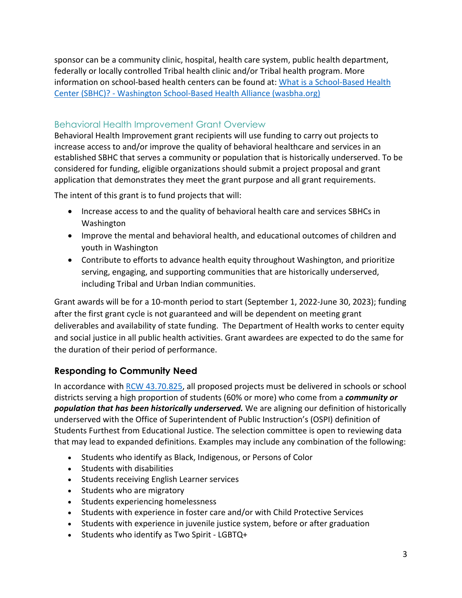sponsor can be a community clinic, hospital, health care system, public health department, federally or locally controlled Tribal health clinic and/or Tribal health program. More information on school-based health centers can be found at: [What is a School-Based Health](https://wasbha.org/sbhcs-in-washington/)  [Center \(SBHC\)? - Washington School-Based Health Alliance \(wasbha.org\)](https://wasbha.org/sbhcs-in-washington/)

#### Behavioral Health Improvement Grant Overview

Behavioral Health Improvement grant recipients will use funding to carry out projects to increase access to and/or improve the quality of behavioral healthcare and services in an established SBHC that serves a community or population that is historically underserved. To be considered for funding, eligible organizations should submit a project proposal and grant application that demonstrates they meet the grant purpose and all grant requirements.

The intent of this grant is to fund projects that will:

- Increase access to and the quality of behavioral health care and services SBHCs in Washington
- Improve the mental and behavioral health, and educational outcomes of children and youth in Washington
- Contribute to efforts to advance health equity throughout Washington, and prioritize serving, engaging, and supporting communities that are historically underserved, including Tribal and Urban Indian communities.

Grant awards will be for a 10-month period to start (September 1, 2022-June 30, 2023); funding after the first grant cycle is not guaranteed and will be dependent on meeting grant deliverables and availability of state funding. The Department of Health works to center equity and social justice in all public health activities. Grant awardees are expected to do the same for the duration of their period of performance.

#### <span id="page-2-0"></span>**Responding to Community Need**

In accordance with [RCW 43.70.825,](https://app.leg.wa.gov/RCW/default.aspx?cite=43.70.825) all proposed projects must be delivered in schools or school districts serving a high proportion of students (60% or more) who come from a *community or population that has been historically underserved.* We are aligning our definition of historically underserved with the Office of Superintendent of Public Instruction's (OSPI) definition of Students Furthest from Educational Justice. The selection committee is open to reviewing data that may lead to expanded definitions. Examples may include any combination of the following:

- Students who identify as Black, Indigenous, or Persons of Color
- Students with disabilities
- Students receiving English Learner services
- Students who are migratory
- Students experiencing homelessness
- Students with experience in foster care and/or with Child Protective Services
- Students with experience in juvenile justice system, before or after graduation
- Students who identify as Two Spirit LGBTQ+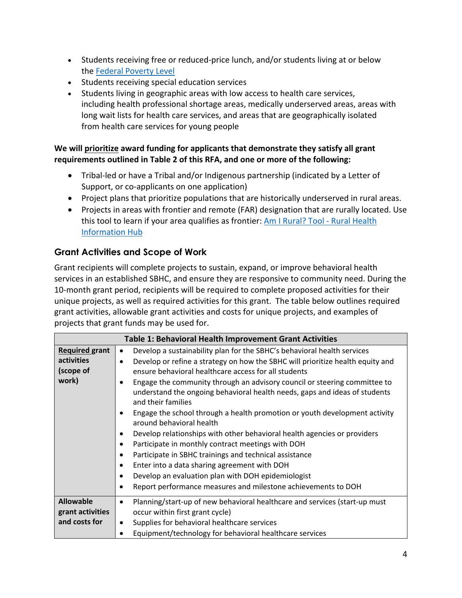- Students receiving free or reduced-price lunch, and/or students living at or below the [Federal Poverty Level](https://www.healthcare.gov/glossary/federal-poverty-level-FPL/)
- Students receiving special education services
- Students living in geographic areas with low access to health care services, including health professional shortage areas, medically underserved areas, areas with long wait lists for health care services, and areas that are geographically isolated from health care services for young people

#### **We will prioritize award funding for applicants that demonstrate they satisfy all grant requirements outlined in Table 2 of this RFA, and one or more of the following:**

- Tribal-led or have a Tribal and/or Indigenous partnership (indicated by a Letter of Support, or co-applicants on one application)
- Project plans that prioritize populations that are historically underserved in rural areas.
- Projects in areas with frontier and remote (FAR) designation that are rurally located. Use this tool to learn if your area qualifies as frontier: [Am I Rural? Tool - Rural Health](https://www.ruralhealthinfo.org/am-i-rural)  [Information Hub](https://www.ruralhealthinfo.org/am-i-rural)

## <span id="page-3-1"></span>**Grant Activities and Scope of Work**

Grant recipients will complete projects to sustain, expand, or improve behavioral health services in an established SBHC, and ensure they are responsive to community need. During the 10-month grant period, recipients will be required to complete proposed activities for their unique projects, as well as required activities for this grant. The table below outlines required grant activities, allowable grant activities and costs for unique projects, and examples of projects that grant funds may be used for.

<span id="page-3-0"></span>

|                                                           | <b>Table 1: Behavioral Health Improvement Grant Activities</b>                                                                                                                                                                                                                                                                                                                                                                                                                                                                                                                                                                                                                                                                                                                                                                                                                                                                                                                   |
|-----------------------------------------------------------|----------------------------------------------------------------------------------------------------------------------------------------------------------------------------------------------------------------------------------------------------------------------------------------------------------------------------------------------------------------------------------------------------------------------------------------------------------------------------------------------------------------------------------------------------------------------------------------------------------------------------------------------------------------------------------------------------------------------------------------------------------------------------------------------------------------------------------------------------------------------------------------------------------------------------------------------------------------------------------|
| <b>Required grant</b><br>activities<br>(scope of<br>work) | Develop a sustainability plan for the SBHC's behavioral health services<br>٠<br>Develop or refine a strategy on how the SBHC will prioritize health equity and<br>$\bullet$<br>ensure behavioral healthcare access for all students<br>Engage the community through an advisory council or steering committee to<br>٠<br>understand the ongoing behavioral health needs, gaps and ideas of students<br>and their families<br>Engage the school through a health promotion or youth development activity<br>$\bullet$<br>around behavioral health<br>Develop relationships with other behavioral health agencies or providers<br>$\bullet$<br>Participate in monthly contract meetings with DOH<br>$\bullet$<br>Participate in SBHC trainings and technical assistance<br>٠<br>Enter into a data sharing agreement with DOH<br>٠<br>Develop an evaluation plan with DOH epidemiologist<br>$\bullet$<br>Report performance measures and milestone achievements to DOH<br>$\bullet$ |
| <b>Allowable</b>                                          | Planning/start-up of new behavioral healthcare and services (start-up must<br>٠                                                                                                                                                                                                                                                                                                                                                                                                                                                                                                                                                                                                                                                                                                                                                                                                                                                                                                  |
| grant activities                                          | occur within first grant cycle)                                                                                                                                                                                                                                                                                                                                                                                                                                                                                                                                                                                                                                                                                                                                                                                                                                                                                                                                                  |
| and costs for                                             | Supplies for behavioral healthcare services<br>٠<br>Equipment/technology for behavioral healthcare services                                                                                                                                                                                                                                                                                                                                                                                                                                                                                                                                                                                                                                                                                                                                                                                                                                                                      |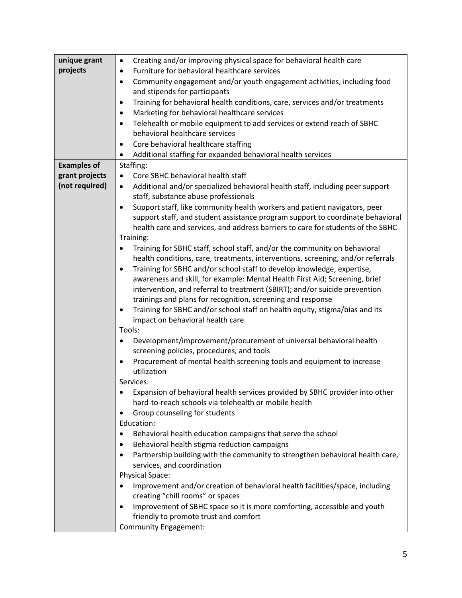| unique grant       | Creating and/or improving physical space for behavioral health care<br>$\bullet$           |  |
|--------------------|--------------------------------------------------------------------------------------------|--|
| projects           | Furniture for behavioral healthcare services<br>$\bullet$                                  |  |
|                    | Community engagement and/or youth engagement activities, including food<br>$\bullet$       |  |
|                    | and stipends for participants                                                              |  |
|                    | Training for behavioral health conditions, care, services and/or treatments<br>$\bullet$   |  |
|                    | Marketing for behavioral healthcare services<br>$\bullet$                                  |  |
|                    | Telehealth or mobile equipment to add services or extend reach of SBHC<br>$\bullet$        |  |
|                    | behavioral healthcare services                                                             |  |
|                    | Core behavioral healthcare staffing<br>$\bullet$                                           |  |
|                    | Additional staffing for expanded behavioral health services<br>٠                           |  |
| <b>Examples of</b> | Staffing:                                                                                  |  |
| grant projects     | Core SBHC behavioral health staff<br>$\bullet$                                             |  |
| (not required)     | Additional and/or specialized behavioral health staff, including peer support<br>$\bullet$ |  |
|                    | staff, substance abuse professionals                                                       |  |
|                    | Support staff, like community health workers and patient navigators, peer<br>$\bullet$     |  |
|                    | support staff, and student assistance program support to coordinate behavioral             |  |
|                    | health care and services, and address barriers to care for students of the SBHC            |  |
|                    | Training:                                                                                  |  |
|                    | Training for SBHC staff, school staff, and/or the community on behavioral<br>٠             |  |
|                    | health conditions, care, treatments, interventions, screening, and/or referrals            |  |
|                    | Training for SBHC and/or school staff to develop knowledge, expertise,<br>$\bullet$        |  |
|                    | awareness and skill, for example: Mental Health First Aid; Screening, brief                |  |
|                    | intervention, and referral to treatment (SBIRT); and/or suicide prevention                 |  |
|                    | trainings and plans for recognition, screening and response                                |  |
|                    | Training for SBHC and/or school staff on health equity, stigma/bias and its<br>$\bullet$   |  |
|                    | impact on behavioral health care                                                           |  |
|                    | Tools:                                                                                     |  |
|                    | Development/improvement/procurement of universal behavioral health<br>$\bullet$            |  |
|                    | screening policies, procedures, and tools                                                  |  |
|                    | Procurement of mental health screening tools and equipment to increase<br>$\bullet$        |  |
|                    | utilization                                                                                |  |
|                    | Services:                                                                                  |  |
|                    | Expansion of behavioral health services provided by SBHC provider into other               |  |
|                    | hard-to-reach schools via telehealth or mobile health                                      |  |
|                    | Group counseling for students<br>٠                                                         |  |
|                    | Education:                                                                                 |  |
|                    | Behavioral health education campaigns that serve the school<br>٠                           |  |
|                    | Behavioral health stigma reduction campaigns<br>٠                                          |  |
|                    | Partnership building with the community to strengthen behavioral health care,<br>$\bullet$ |  |
|                    | services, and coordination                                                                 |  |
|                    | <b>Physical Space:</b>                                                                     |  |
|                    | Improvement and/or creation of behavioral health facilities/space, including               |  |
|                    | creating "chill rooms" or spaces                                                           |  |
|                    | Improvement of SBHC space so it is more comforting, accessible and youth<br>$\bullet$      |  |
|                    | friendly to promote trust and comfort                                                      |  |
|                    | <b>Community Engagement:</b>                                                               |  |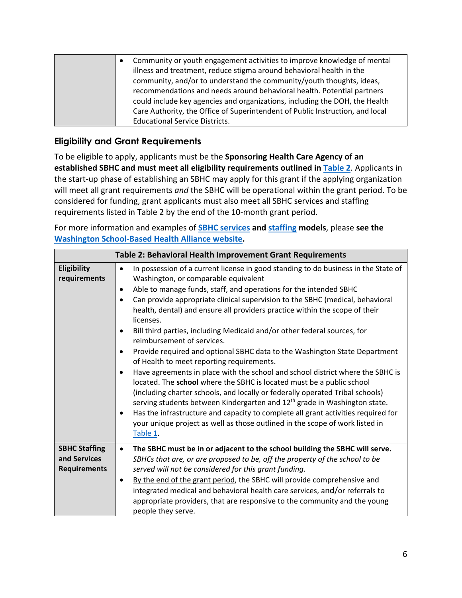| Community or youth engagement activities to improve knowledge of mental<br>$\bullet$<br>illness and treatment, reduce stigma around behavioral health in the<br>community, and/or to understand the community/youth thoughts, ideas,<br>recommendations and needs around behavioral health. Potential partners<br>could include key agencies and organizations, including the DOH, the Health |
|-----------------------------------------------------------------------------------------------------------------------------------------------------------------------------------------------------------------------------------------------------------------------------------------------------------------------------------------------------------------------------------------------|
| Care Authority, the Office of Superintendent of Public Instruction, and local                                                                                                                                                                                                                                                                                                                 |
| <b>Educational Service Districts.</b>                                                                                                                                                                                                                                                                                                                                                         |

## **Eligibility and Grant Requirements**

To be eligible to apply, applicants must be the **Sponsoring Health Care Agency of an established SBHC and must meet all eligibility requirements outlined in [Table 2](#page-5-0)**. Applicants in the start-up phase of establishing an SBHC may apply for this grant if the applying organization will meet all grant requirements *and* the SBHC will be operational within the grant period. To be considered for funding, grant applicants must also meet all SBHC services and staffing requirements listed in Table 2 by the end of the 10-month grant period.

For more information and examples of **[SBHC services](https://wasbha.org/wp-content/uploads/2022/02/Toolkit-SBHC-Services.pdf) an[d staffing](https://wasbha.org/wp-content/uploads/2022/02/Toolkit-Staffing.pdf) models**, please **see the [Washington School-Based Health Alliance website.](https://wasbha.org/planning-operating-and-sustaining-a-sbhc/)** 

<span id="page-5-0"></span>

|                                                             | Table 2: Behavioral Health Improvement Grant Requirements                                                                                                                                                                                                                                                                                                                                                                                                                                                                                                                                                                                                                                                                                                                                                                                                                                                                                                                                                                                                                                                                                                                                                  |
|-------------------------------------------------------------|------------------------------------------------------------------------------------------------------------------------------------------------------------------------------------------------------------------------------------------------------------------------------------------------------------------------------------------------------------------------------------------------------------------------------------------------------------------------------------------------------------------------------------------------------------------------------------------------------------------------------------------------------------------------------------------------------------------------------------------------------------------------------------------------------------------------------------------------------------------------------------------------------------------------------------------------------------------------------------------------------------------------------------------------------------------------------------------------------------------------------------------------------------------------------------------------------------|
| Eligibility<br>requirements                                 | In possession of a current license in good standing to do business in the State of<br>$\bullet$<br>Washington, or comparable equivalent<br>Able to manage funds, staff, and operations for the intended SBHC<br>$\bullet$<br>Can provide appropriate clinical supervision to the SBHC (medical, behavioral<br>$\bullet$<br>health, dental) and ensure all providers practice within the scope of their<br>licenses.<br>Bill third parties, including Medicaid and/or other federal sources, for<br>٠<br>reimbursement of services.<br>Provide required and optional SBHC data to the Washington State Department<br>٠<br>of Health to meet reporting requirements.<br>Have agreements in place with the school and school district where the SBHC is<br>$\bullet$<br>located. The school where the SBHC is located must be a public school<br>(including charter schools, and locally or federally operated Tribal schools)<br>serving students between Kindergarten and 12 <sup>th</sup> grade in Washington state.<br>Has the infrastructure and capacity to complete all grant activities required for<br>٠<br>your unique project as well as those outlined in the scope of work listed in<br>Table 1. |
| <b>SBHC Staffing</b><br>and Services<br><b>Requirements</b> | The SBHC must be in or adjacent to the school building the SBHC will serve.<br>٠<br>SBHCs that are, or are proposed to be, off the property of the school to be<br>served will not be considered for this grant funding.<br>By the end of the grant period, the SBHC will provide comprehensive and<br>٠<br>integrated medical and behavioral health care services, and/or referrals to<br>appropriate providers, that are responsive to the community and the young<br>people they serve.                                                                                                                                                                                                                                                                                                                                                                                                                                                                                                                                                                                                                                                                                                                 |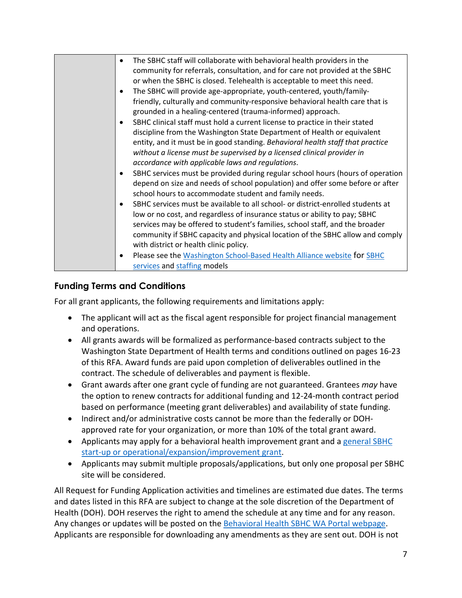| The SBHC staff will collaborate with behavioral health providers in the<br>$\bullet$<br>community for referrals, consultation, and for care not provided at the SBHC<br>or when the SBHC is closed. Telehealth is acceptable to meet this need.<br>The SBHC will provide age-appropriate, youth-centered, youth/family-<br>$\bullet$<br>friendly, culturally and community-responsive behavioral health care that is<br>grounded in a healing-centered (trauma-informed) approach.<br>SBHC clinical staff must hold a current license to practice in their stated<br>$\bullet$<br>discipline from the Washington State Department of Health or equivalent<br>entity, and it must be in good standing. Behavioral health staff that practice<br>without a license must be supervised by a licensed clinical provider in<br>accordance with applicable laws and regulations.<br>SBHC services must be provided during regular school hours (hours of operation<br>depend on size and needs of school population) and offer some before or after<br>school hours to accommodate student and family needs.<br>SBHC services must be available to all school- or district-enrolled students at<br>$\bullet$<br>low or no cost, and regardless of insurance status or ability to pay; SBHC |
|--------------------------------------------------------------------------------------------------------------------------------------------------------------------------------------------------------------------------------------------------------------------------------------------------------------------------------------------------------------------------------------------------------------------------------------------------------------------------------------------------------------------------------------------------------------------------------------------------------------------------------------------------------------------------------------------------------------------------------------------------------------------------------------------------------------------------------------------------------------------------------------------------------------------------------------------------------------------------------------------------------------------------------------------------------------------------------------------------------------------------------------------------------------------------------------------------------------------------------------------------------------------------------------|
| services may be offered to student's families, school staff, and the broader                                                                                                                                                                                                                                                                                                                                                                                                                                                                                                                                                                                                                                                                                                                                                                                                                                                                                                                                                                                                                                                                                                                                                                                                         |
| community if SBHC capacity and physical location of the SBHC allow and comply<br>with district or health clinic policy.                                                                                                                                                                                                                                                                                                                                                                                                                                                                                                                                                                                                                                                                                                                                                                                                                                                                                                                                                                                                                                                                                                                                                              |
| Please see the Washington School-Based Health Alliance website for SBHC<br>services and staffing models                                                                                                                                                                                                                                                                                                                                                                                                                                                                                                                                                                                                                                                                                                                                                                                                                                                                                                                                                                                                                                                                                                                                                                              |

## **Funding Terms and Conditions**

For all grant applicants, the following requirements and limitations apply:

- The applicant will act as the fiscal agent responsible for project financial management and operations.
- All grants awards will be formalized as performance-based contracts subject to the Washington State Department of Health terms and conditions outlined on pages 16-23 of this RFA. Award funds are paid upon completion of deliverables outlined in the contract. The schedule of deliverables and payment is flexible.
- Grant awards after one grant cycle of funding are not guaranteed. Grantees *may* have the option to renew contracts for additional funding and 12-24-month contract period based on performance (meeting grant deliverables) and availability of state funding.
- Indirect and/or administrative costs cannot be more than the federally or DOHapproved rate for your organization, or more than 10% of the total grant award.
- Applicants may apply for a behavioral health improvement grant and a [general SBHC](https://waportal.org/partners/home/adolescent-health/SBHC-Grant)  [start-up or operational/expansion/improvement grant.](https://waportal.org/partners/home/adolescent-health/SBHC-Grant)
- Applicants may submit multiple proposals/applications, but only one proposal per SBHC site will be considered.

All Request for Funding Application activities and timelines are estimated due dates. The terms and dates listed in this RFA are subject to change at the sole discretion of the Department of Health (DOH). DOH reserves the right to amend the schedule at any time and for any reason. Any changes or updates will be posted on the [Behavioral Health SBHC WA Portal webpage.](https://waportal.org/partners/home/adolescent-health/school-based-health-center/behavioral-health-sbhc-grant-information) Applicants are responsible for downloading any amendments as they are sent out. DOH is not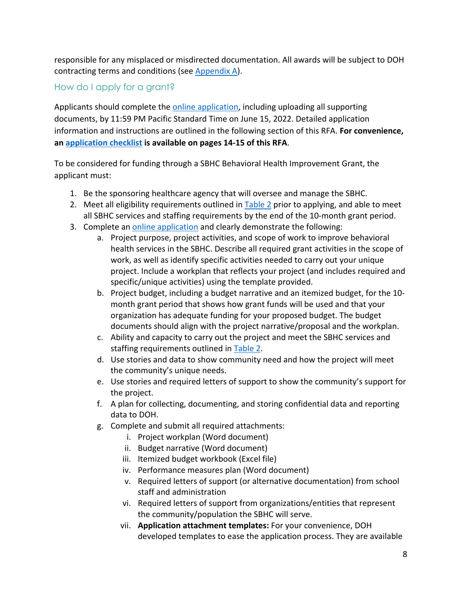responsible for any misplaced or misdirected documentation. All awards will be subject to DOH contracting terms and conditions (see [Appendix A\)](#page-15-0).

#### How do I apply for a grant?

Applicants should complete th[e online application,](https://redcap.link/SBHC_BH) including uploading all supporting documents, by 11:59 PM Pacific Standard Time on June 15, 2022. Detailed application information and instructions are outlined in the following section of this RFA. **For convenience, an [application checklist](#page-13-0) is available on pages 14-15 of this RFA**.

To be considered for funding through a SBHC Behavioral Health Improvement Grant, the applicant must:

- 1. Be the sponsoring healthcare agency that will oversee and manage the SBHC.
- 2. Meet all eligibility requirements outlined in [Table 2](#page-5-0) prior to applying, and able to meet all SBHC services and staffing requirements by the end of the 10-month grant period.
- 3. Complete an [online application](https://redcap.link/SBHC_BH) and clearly demonstrate the following:
	- a. Project purpose, project activities, and scope of work to improve behavioral health services in the SBHC. Describe all required grant activities in the scope of work, as well as identify specific activities needed to carry out your unique project. Include a workplan that reflects your project (and includes required and specific/unique activities) using the template provided.
	- b. Project budget, including a budget narrative and an itemized budget, for the 10 month grant period that shows how grant funds will be used and that your organization has adequate funding for your proposed budget. The budget documents should align with the project narrative/proposal and the workplan.
	- c. Ability and capacity to carry out the project and meet the SBHC services and staffing requirements outlined in [Table 2.](#page-5-0)
	- d. Use stories and data to show community need and how the project will meet the community's unique needs.
	- e. Use stories and required letters of support to show the community's support for the project.
	- f. A plan for collecting, documenting, and storing confidential data and reporting data to DOH.
	- g. Complete and submit all required attachments:
		- i. Project workplan (Word document)
		- ii. Budget narrative (Word document)
		- iii. Itemized budget workbook (Excel file)
		- iv. Performance measures plan (Word document)
		- v. Required letters of support (or alternative documentation) from school staff and administration
		- vi. Required letters of support from organizations/entities that represent the community/population the SBHC will serve.
		- vii. **Application attachment templates:** For your convenience, DOH developed templates to ease the application process. They are available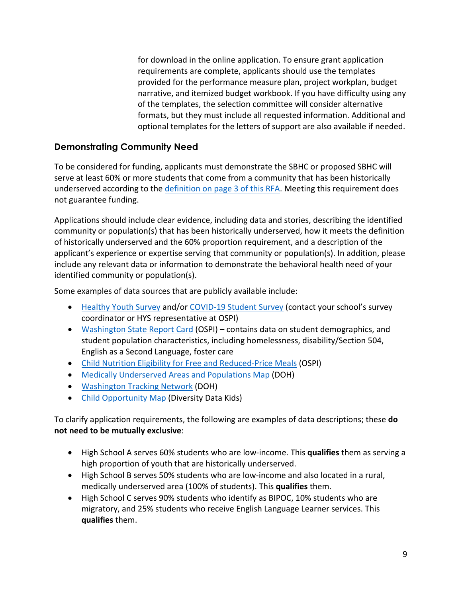for download in the online application. To ensure grant application requirements are complete, applicants should use the templates provided for the performance measure plan, project workplan, budget narrative, and itemized budget workbook. If you have difficulty using any of the templates, the selection committee will consider alternative formats, but they must include all requested information. Additional and optional templates for the letters of support are also available if needed.

#### **Demonstrating Community Need**

To be considered for funding, applicants must demonstrate the SBHC or proposed SBHC will serve at least 60% or more students that come from a community that has been historically underserved according to the [definition on page 3 of this RFA.](#page-2-0) Meeting this requirement does not guarantee funding.

Applications should include clear evidence, including data and stories, describing the identified community or population(s) that has been historically underserved, how it meets the definition of historically underserved and the 60% proportion requirement, and a description of the applicant's experience or expertise serving that community or population(s). In addition, please include any relevant data or information to demonstrate the behavioral health need of your identified community or population(s).

Some examples of data sources that are publicly available include:

- [Healthy Youth Survey](https://www.doh.wa.gov/DataandStatisticalReports/DataSystems/HealthyYouthSurvey) and/or [COVID-19 Student Survey](https://csswashington.org/) (contact your school's survey coordinator or HYS representative at OSPI)
- [Washington State Report Card](https://washingtonstatereportcard.ospi.k12.wa.us/ReportCard/ViewSchoolOrDistrict/103300) (OSPI) contains data on student demographics, and student population characteristics, including homelessness, disability/Section 504, English as a Second Language, foster care
- Child Nutrition [Eligibility for Free and Reduced-Price Meals](https://www.k12.wa.us/policy-funding/child-nutrition/child-nutrition-program-reports) (OSPI)
- [Medically Underserved Areas and Populations Map](https://fortress.wa.gov/doh/base/gis/mua_p.pdf) (DOH)
- [Washington Tracking Network](https://fortress.wa.gov/doh/wtn/WTNIBL/Map/HealthDisp) (DOH)
- [Child Opportunity Map](https://www.diversitydatakids.org/research-library/blog/mapping-child-opportunity) (Diversity Data Kids)

To clarify application requirements, the following are examples of data descriptions; these **do not need to be mutually exclusive**:

- High School A serves 60% students who are low-income. This **qualifies** them as serving a high proportion of youth that are historically underserved.
- High School B serves 50% students who are low-income and also located in a rural, medically underserved area (100% of students). This **qualifies** them.
- High School C serves 90% students who identify as BIPOC, 10% students who are migratory, and 25% students who receive English Language Learner services. This **qualifies** them.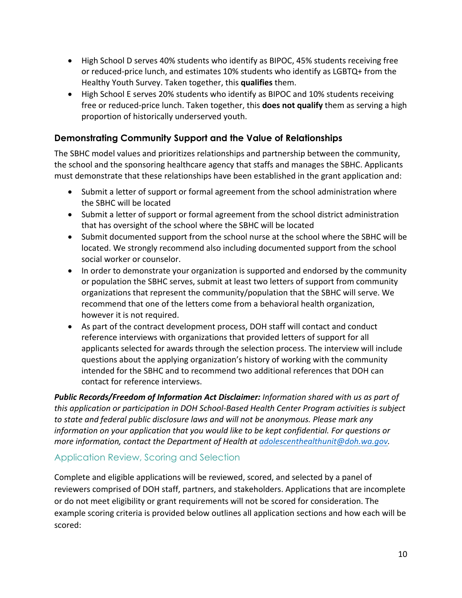- High School D serves 40% students who identify as BIPOC, 45% students receiving free or reduced-price lunch, and estimates 10% students who identify as LGBTQ+ from the Healthy Youth Survey. Taken together, this **qualifies** them.
- High School E serves 20% students who identify as BIPOC and 10% students receiving free or reduced-price lunch. Taken together, this **does not qualify** them as serving a high proportion of historically underserved youth.

#### **Demonstrating Community Support and the Value of Relationships**

The SBHC model values and prioritizes relationships and partnership between the community, the school and the sponsoring healthcare agency that staffs and manages the SBHC. Applicants must demonstrate that these relationships have been established in the grant application and:

- Submit a letter of support or formal agreement from the school administration where the SBHC will be located
- Submit a letter of support or formal agreement from the school district administration that has oversight of the school where the SBHC will be located
- Submit documented support from the school nurse at the school where the SBHC will be located. We strongly recommend also including documented support from the school social worker or counselor.
- In order to demonstrate your organization is supported and endorsed by the community or population the SBHC serves, submit at least two letters of support from community organizations that represent the community/population that the SBHC will serve. We recommend that one of the letters come from a behavioral health organization, however it is not required.
- As part of the contract development process, DOH staff will contact and conduct reference interviews with organizations that provided letters of support for all applicants selected for awards through the selection process. The interview will include questions about the applying organization's history of working with the community intended for the SBHC and to recommend two additional references that DOH can contact for reference interviews.

*Public Records/Freedom of Information Act Disclaimer: Information shared with us as part of this application or participation in DOH School-Based Health Center Program activities is subject to state and federal public disclosure laws and will not be anonymous. Please mark any information on your application that you would like to be kept confidential. For questions or more information, contact the Department of Health at [adolescenthealthunit@doh.wa.gov.](mailto:adolescenthealthunit@doh.wa.gov)*

#### Application Review, Scoring and Selection

Complete and eligible applications will be reviewed, scored, and selected by a panel of reviewers comprised of DOH staff, partners, and stakeholders. Applications that are incomplete or do not meet eligibility or grant requirements will not be scored for consideration. The example scoring criteria is provided below outlines all application sections and how each will be scored: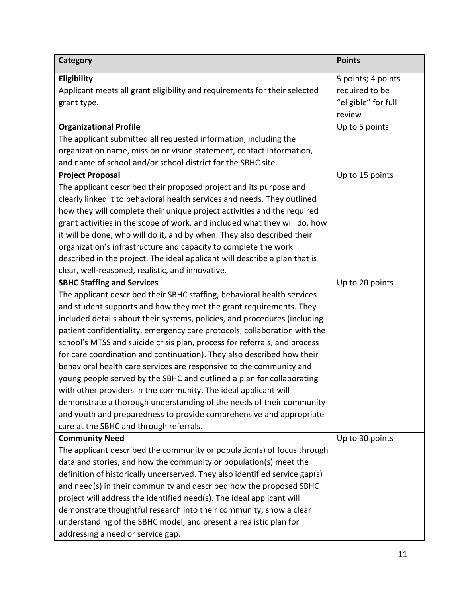| <b>Category</b>                                                                                         | <b>Points</b>                                                         |
|---------------------------------------------------------------------------------------------------------|-----------------------------------------------------------------------|
| Eligibility<br>Applicant meets all grant eligibility and requirements for their selected<br>grant type. | 5 points; 4 points<br>required to be<br>"eligible" for full<br>review |
| <b>Organizational Profile</b>                                                                           | Up to 5 points                                                        |
| The applicant submitted all requested information, including the                                        |                                                                       |
| organization name, mission or vision statement, contact information,                                    |                                                                       |
| and name of school and/or school district for the SBHC site.                                            |                                                                       |
| <b>Project Proposal</b>                                                                                 | Up to 15 points                                                       |
| The applicant described their proposed project and its purpose and                                      |                                                                       |
| clearly linked it to behavioral health services and needs. They outlined                                |                                                                       |
| how they will complete their unique project activities and the required                                 |                                                                       |
| grant activities in the scope of work, and included what they will do, how                              |                                                                       |
| it will be done, who will do it, and by when. They also described their                                 |                                                                       |
| organization's infrastructure and capacity to complete the work                                         |                                                                       |
| described in the project. The ideal applicant will describe a plan that is                              |                                                                       |
| clear, well-reasoned, realistic, and innovative.                                                        |                                                                       |
| <b>SBHC Staffing and Services</b>                                                                       | Up to 20 points                                                       |
| The applicant described their SBHC staffing, behavioral health services                                 |                                                                       |
| and student supports and how they met the grant requirements. They                                      |                                                                       |
| included details about their systems, policies, and procedures (including                               |                                                                       |
| patient confidentiality, emergency care protocols, collaboration with the                               |                                                                       |
| school's MTSS and suicide crisis plan, process for referrals, and process                               |                                                                       |
| for care coordination and continuation). They also described how their                                  |                                                                       |
| behavioral health care services are responsive to the community and                                     |                                                                       |
| young people served by the SBHC and outlined a plan for collaborating                                   |                                                                       |
| with other providers in the community. The ideal applicant will                                         |                                                                       |
| demonstrate a thorough understanding of the needs of their community                                    |                                                                       |
| and youth and preparedness to provide comprehensive and appropriate                                     |                                                                       |
| care at the SBHC and through referrals.                                                                 |                                                                       |
| <b>Community Need</b>                                                                                   | Up to 30 points                                                       |
| The applicant described the community or population(s) of focus through                                 |                                                                       |
| data and stories, and how the community or population(s) meet the                                       |                                                                       |
| definition of historically underserved. They also identified service gap(s)                             |                                                                       |
| and need(s) in their community and described how the proposed SBHC                                      |                                                                       |
| project will address the identified need(s). The ideal applicant will                                   |                                                                       |
| demonstrate thoughtful research into their community, show a clear                                      |                                                                       |
| understanding of the SBHC model, and present a realistic plan for                                       |                                                                       |
| addressing a need or service gap.                                                                       |                                                                       |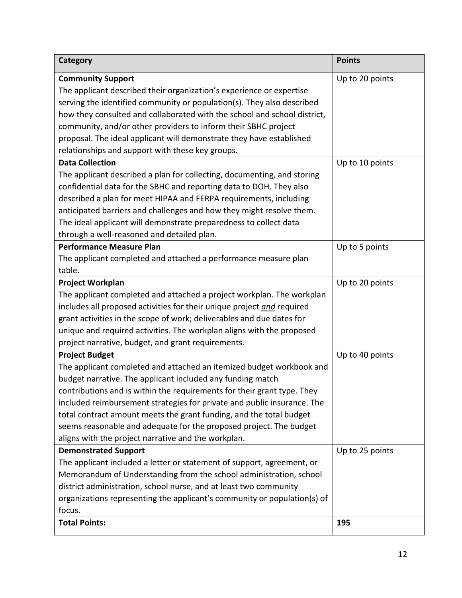| Category                                                                 | <b>Points</b>   |
|--------------------------------------------------------------------------|-----------------|
| <b>Community Support</b>                                                 | Up to 20 points |
| The applicant described their organization's experience or expertise     |                 |
| serving the identified community or population(s). They also described   |                 |
| how they consulted and collaborated with the school and school district, |                 |
| community, and/or other providers to inform their SBHC project           |                 |
| proposal. The ideal applicant will demonstrate they have established     |                 |
| relationships and support with these key groups.                         |                 |
| <b>Data Collection</b>                                                   | Up to 10 points |
| The applicant described a plan for collecting, documenting, and storing  |                 |
| confidential data for the SBHC and reporting data to DOH. They also      |                 |
| described a plan for meet HIPAA and FERPA requirements, including        |                 |
| anticipated barriers and challenges and how they might resolve them.     |                 |
| The ideal applicant will demonstrate preparedness to collect data        |                 |
| through a well-reasoned and detailed plan.                               |                 |
| <b>Performance Measure Plan</b>                                          | Up to 5 points  |
| The applicant completed and attached a performance measure plan          |                 |
| table.                                                                   |                 |
| Project Workplan                                                         | Up to 20 points |
| The applicant completed and attached a project workplan. The workplan    |                 |
| includes all proposed activities for their unique project and required   |                 |
| grant activities in the scope of work; deliverables and due dates for    |                 |
| unique and required activities. The workplan aligns with the proposed    |                 |
| project narrative, budget, and grant requirements.                       |                 |
| <b>Project Budget</b>                                                    | Up to 40 points |
| The applicant completed and attached an itemized budget workbook and     |                 |
| budget narrative. The applicant included any funding match               |                 |
| contributions and is within the requirements for their grant type. They  |                 |
| included reimbursement strategies for private and public insurance. The  |                 |
| total contract amount meets the grant funding, and the total budget      |                 |
| seems reasonable and adequate for the proposed project. The budget       |                 |
| aligns with the project narrative and the workplan.                      |                 |
| <b>Demonstrated Support</b>                                              | Up to 25 points |
| The applicant included a letter or statement of support, agreement, or   |                 |
| Memorandum of Understanding from the school administration, school       |                 |
| district administration, school nurse, and at least two community        |                 |
| organizations representing the applicant's community or population(s) of |                 |
| focus.                                                                   |                 |
| <b>Total Points:</b>                                                     | 195             |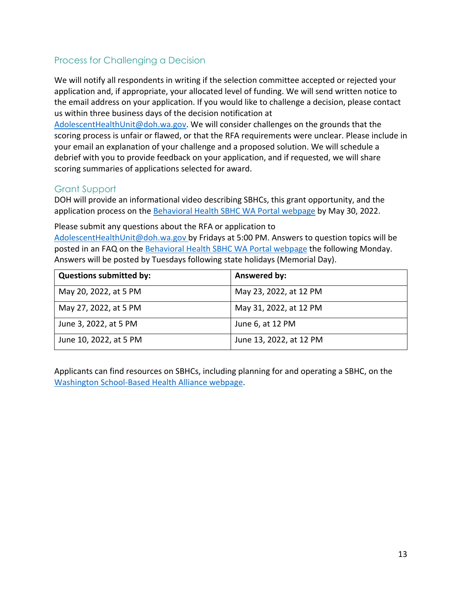#### Process for Challenging a Decision

We will notify all respondents in writing if the selection committee accepted or rejected your application and, if appropriate, your allocated level of funding. We will send written notice to the email address on your application. If you would like to challenge a decision, please contact us within three business days of the decision notification at

[AdolescentHealthUnit@doh.wa.gov.](mailto:AdolescentHealthUnit@doh.wa.gov) We will consider challenges on the grounds that the scoring process is unfair or flawed, or that the RFA requirements were unclear. Please include in your email an explanation of your challenge and a proposed solution. We will schedule a debrief with you to provide feedback on your application, and if requested, we will share scoring summaries of applications selected for award.

#### Grant Support

DOH will provide an informational video describing SBHCs, this grant opportunity, and the application process on the [Behavioral Health SBHC WA Portal webpage](https://waportal.org/partners/home/adolescent-health/school-based-health-center/behavioral-health-sbhc-grant-information) by May 30, 2022.

Please submit any questions about the RFA or application to [AdolescentHealthUnit@doh.wa.gov](mailto:AdolescentHealthUnit@doh.wa.gov) by Fridays at 5:00 PM. Answers to question topics will be posted in an FAQ on the [Behavioral Health SBHC WA Portal webpage](https://waportal.org/partners/home/adolescent-health/school-based-health-center/behavioral-health-sbhc-grant-information) the following Monday. Answers will be posted by Tuesdays following state holidays (Memorial Day).

| <b>Questions submitted by:</b> | Answered by:            |
|--------------------------------|-------------------------|
| May 20, 2022, at 5 PM          | May 23, 2022, at 12 PM  |
| May 27, 2022, at 5 PM          | May 31, 2022, at 12 PM  |
| June 3, 2022, at 5 PM          | June 6, at 12 PM        |
| June 10, 2022, at 5 PM         | June 13, 2022, at 12 PM |

Applicants can find resources on SBHCs, including planning for and operating a SBHC, on the [Washington School-Based Health Alliance webpage.](https://wasbha.org/planning-operating-and-sustaining-a-sbhc/)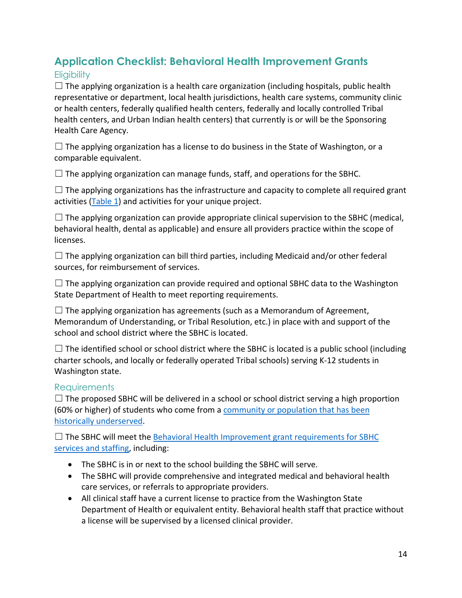# <span id="page-13-0"></span>**Application Checklist: Behavioral Health Improvement Grants**

## **Eligibility**

 $\Box$  The applying organization is a health care organization (including hospitals, public health representative or department, local health jurisdictions, health care systems, community clinic or health centers, federally qualified health centers, federally and locally controlled Tribal health centers, and Urban Indian health centers) that currently is or will be the Sponsoring Health Care Agency.

 $\Box$  The applying organization has a license to do business in the State of Washington, or a comparable equivalent.

 $\Box$  The applying organization can manage funds, staff, and operations for the SBHC.

 $\Box$  The applying organizations has the infrastructure and capacity to complete all required grant activities  $(Table 1)$  and activities for your unique project.

 $\Box$  The applying organization can provide appropriate clinical supervision to the SBHC (medical, behavioral health, dental as applicable) and ensure all providers practice within the scope of licenses.

 $\Box$  The applying organization can bill third parties, including Medicaid and/or other federal sources, for reimbursement of services.

 $\Box$  The applying organization can provide required and optional SBHC data to the Washington State Department of Health to meet reporting requirements.

 $\Box$  The applying organization has agreements (such as a Memorandum of Agreement, Memorandum of Understanding, or Tribal Resolution, etc.) in place with and support of the school and school district where the SBHC is located.

 $\Box$  The identified school or school district where the SBHC is located is a public school (including charter schools, and locally or federally operated Tribal schools) serving K-12 students in Washington state.

## Requirements

 $\Box$  The proposed SBHC will be delivered in a school or school district serving a high proportion (60% or higher) of students who come from a [community or population that has been](#page-2-0)  [historically underserved.](#page-2-0)

 $\Box$  The SBHC will meet the [Behavioral Health Improvement grant](#page-5-0) requirements for SBHC [services and staffing,](#page-5-0) including:

- The SBHC is in or next to the school building the SBHC will serve.
- The SBHC will provide comprehensive and integrated medical and behavioral health care services, or referrals to appropriate providers.
- All clinical staff have a current license to practice from the Washington State Department of Health or equivalent entity. Behavioral health staff that practice without a license will be supervised by a licensed clinical provider.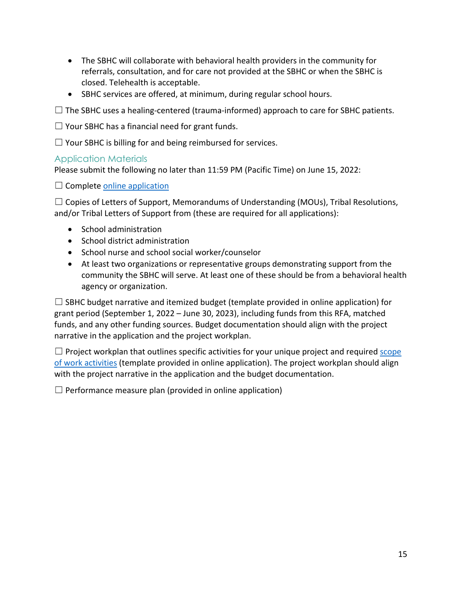- The SBHC will collaborate with behavioral health providers in the community for referrals, consultation, and for care not provided at the SBHC or when the SBHC is closed. Telehealth is acceptable.
- SBHC services are offered, at minimum, during regular school hours.

 $\Box$  The SBHC uses a healing-centered (trauma-informed) approach to care for SBHC patients.

☐ Your SBHC has a financial need for grant funds.

 $\Box$  Your SBHC is billing for and being reimbursed for services.

#### Application Materials

Please submit the following no later than 11:59 PM (Pacific Time) on June 15, 2022:

 $\Box$  Complete [online application](https://redcap.link/SBHCgrantapplication)

 $\Box$  Copies of Letters of Support, Memorandums of Understanding (MOUs), Tribal Resolutions, and/or Tribal Letters of Support from (these are required for all applications):

- School administration
- School district administration
- School nurse and school social worker/counselor
- At least two organizations or representative groups demonstrating support from the community the SBHC will serve. At least one of these should be from a behavioral health agency or organization.

 $\Box$  SBHC budget narrative and itemized budget (template provided in online application) for grant period (September 1, 2022 – June 30, 2023), including funds from this RFA, matched funds, and any other funding sources. Budget documentation should align with the project narrative in the application and the project workplan.

 $\Box$  Project workplan that outlines specific activities for your unique project and required scope [of work activities](#page-3-1) (template provided in online application). The project workplan should align with the project narrative in the application and the budget documentation.

 $\Box$  Performance measure plan (provided in online application)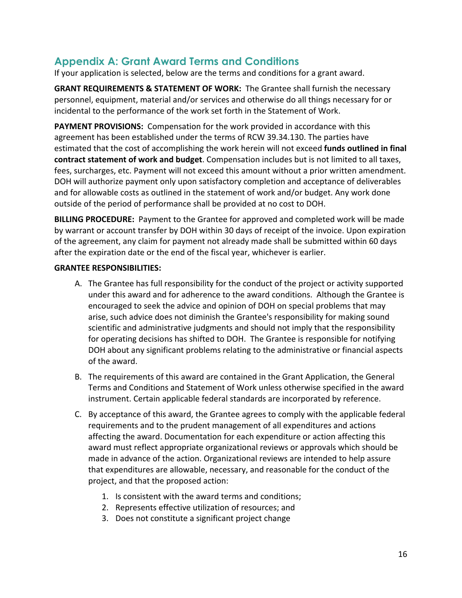# <span id="page-15-0"></span>**Appendix A: Grant Award Terms and Conditions**

If your application is selected, below are the terms and conditions for a grant award.

**GRANT REQUIREMENTS & STATEMENT OF WORK:** The Grantee shall furnish the necessary personnel, equipment, material and/or services and otherwise do all things necessary for or incidental to the performance of the work set forth in the Statement of Work.

**PAYMENT PROVISIONS:** Compensation for the work provided in accordance with this agreement has been established under the terms of RCW 39.34.130. The parties have estimated that the cost of accomplishing the work herein will not exceed **funds outlined in final contract statement of work and budget**. Compensation includes but is not limited to all taxes, fees, surcharges, etc. Payment will not exceed this amount without a prior written amendment. DOH will authorize payment only upon satisfactory completion and acceptance of deliverables and for allowable costs as outlined in the statement of work and/or budget. Any work done outside of the period of performance shall be provided at no cost to DOH.

**BILLING PROCEDURE:** Payment to the Grantee for approved and completed work will be made by warrant or account transfer by DOH within 30 days of receipt of the invoice. Upon expiration of the agreement, any claim for payment not already made shall be submitted within 60 days after the expiration date or the end of the fiscal year, whichever is earlier.

#### **GRANTEE RESPONSIBILITIES:**

- A. The Grantee has full responsibility for the conduct of the project or activity supported under this award and for adherence to the award conditions. Although the Grantee is encouraged to seek the advice and opinion of DOH on special problems that may arise, such advice does not diminish the Grantee's responsibility for making sound scientific and administrative judgments and should not imply that the responsibility for operating decisions has shifted to DOH. The Grantee is responsible for notifying DOH about any significant problems relating to the administrative or financial aspects of the award.
- B. The requirements of this award are contained in the Grant Application, the General Terms and Conditions and Statement of Work unless otherwise specified in the award instrument. Certain applicable federal standards are incorporated by reference.
- C. By acceptance of this award, the Grantee agrees to comply with the applicable federal requirements and to the prudent management of all expenditures and actions affecting the award. Documentation for each expenditure or action affecting this award must reflect appropriate organizational reviews or approvals which should be made in advance of the action. Organizational reviews are intended to help assure that expenditures are allowable, necessary, and reasonable for the conduct of the project, and that the proposed action:
	- 1. Is consistent with the award terms and conditions;
	- 2. Represents effective utilization of resources; and
	- 3. Does not constitute a significant project change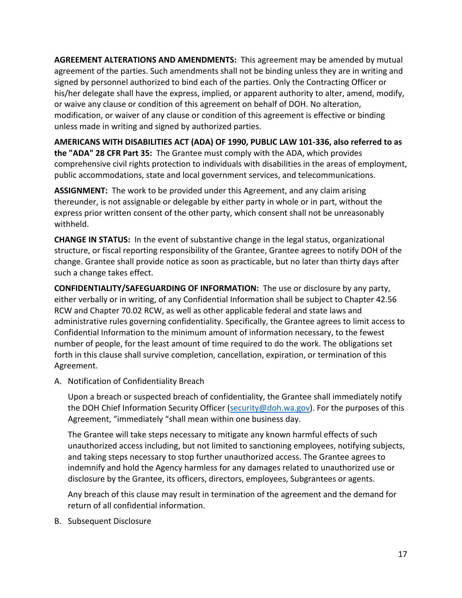**AGREEMENT ALTERATIONS AND AMENDMENTS:** This agreement may be amended by mutual agreement of the parties. Such amendments shall not be binding unless they are in writing and signed by personnel authorized to bind each of the parties. Only the Contracting Officer or his/her delegate shall have the express, implied, or apparent authority to alter, amend, modify, or waive any clause or condition of this agreement on behalf of DOH. No alteration, modification, or waiver of any clause or condition of this agreement is effective or binding unless made in writing and signed by authorized parties.

**AMERICANS WITH DISABILITIES ACT (ADA) OF 1990, PUBLIC LAW 101-336, also referred to as the "ADA" 28 CFR Part 35:** The Grantee must comply with the ADA, which provides comprehensive civil rights protection to individuals with disabilities in the areas of employment, public accommodations, state and local government services, and telecommunications.

**ASSIGNMENT:** The work to be provided under this Agreement, and any claim arising thereunder, is not assignable or delegable by either party in whole or in part, without the express prior written consent of the other party, which consent shall not be unreasonably withheld.

**CHANGE IN STATUS:** In the event of substantive change in the legal status, organizational structure, or fiscal reporting responsibility of the Grantee, Grantee agrees to notify DOH of the change. Grantee shall provide notice as soon as practicable, but no later than thirty days after such a change takes effect.

**CONFIDENTIALITY/SAFEGUARDING OF INFORMATION:** The use or disclosure by any party, either verbally or in writing, of any Confidential Information shall be subject to Chapter 42.56 RCW and Chapter 70.02 RCW, as well as other applicable federal and state laws and administrative rules governing confidentiality. Specifically, the Grantee agrees to limit access to Confidential Information to the minimum amount of information necessary, to the fewest number of people, for the least amount of time required to do the work. The obligations set forth in this clause shall survive completion, cancellation, expiration, or termination of this Agreement.

A. Notification of Confidentiality Breach

Upon a breach or suspected breach of confidentiality, the Grantee shall immediately notify the DOH Chief Information Security Officer [\(security@doh.wa.gov\)](mailto:security@doh.wa.gov). For the purposes of this Agreement, "immediately "shall mean within one business day.

The Grantee will take steps necessary to mitigate any known harmful effects of such unauthorized access including, but not limited to sanctioning employees, notifying subjects, and taking steps necessary to stop further unauthorized access. The Grantee agrees to indemnify and hold the Agency harmless for any damages related to unauthorized use or disclosure by the Grantee, its officers, directors, employees, Subgrantees or agents.

Any breach of this clause may result in termination of the agreement and the demand for return of all confidential information.

B. Subsequent Disclosure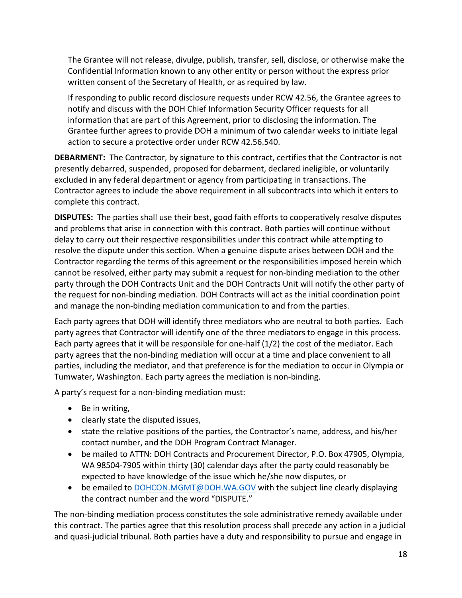The Grantee will not release, divulge, publish, transfer, sell, disclose, or otherwise make the Confidential Information known to any other entity or person without the express prior written consent of the Secretary of Health, or as required by law.

If responding to public record disclosure requests under RCW 42.56, the Grantee agrees to notify and discuss with the DOH Chief Information Security Officer requests for all information that are part of this Agreement, prior to disclosing the information. The Grantee further agrees to provide DOH a minimum of two calendar weeks to initiate legal action to secure a protective order under RCW 42.56.540.

**DEBARMENT:** The Contractor, by signature to this contract, certifies that the Contractor is not presently debarred, suspended, proposed for debarment, declared ineligible, or voluntarily excluded in any federal department or agency from participating in transactions. The Contractor agrees to include the above requirement in all subcontracts into which it enters to complete this contract.

**DISPUTES:** The parties shall use their best, good faith efforts to cooperatively resolve disputes and problems that arise in connection with this contract. Both parties will continue without delay to carry out their respective responsibilities under this contract while attempting to resolve the dispute under this section. When a genuine dispute arises between DOH and the Contractor regarding the terms of this agreement or the responsibilities imposed herein which cannot be resolved, either party may submit a request for non-binding mediation to the other party through the DOH Contracts Unit and the DOH Contracts Unit will notify the other party of the request for non-binding mediation. DOH Contracts will act as the initial coordination point and manage the non-binding mediation communication to and from the parties.

Each party agrees that DOH will identify three mediators who are neutral to both parties. Each party agrees that Contractor will identify one of the three mediators to engage in this process. Each party agrees that it will be responsible for one-half (1/2) the cost of the mediator. Each party agrees that the non-binding mediation will occur at a time and place convenient to all parties, including the mediator, and that preference is for the mediation to occur in Olympia or Tumwater, Washington. Each party agrees the mediation is non-binding.

A party's request for a non-binding mediation must:

- Be in writing,
- clearly state the disputed issues,
- state the relative positions of the parties, the Contractor's name, address, and his/her contact number, and the DOH Program Contract Manager.
- be mailed to ATTN: DOH Contracts and Procurement Director, P.O. Box 47905, Olympia, WA 98504-7905 within thirty (30) calendar days after the party could reasonably be expected to have knowledge of the issue which he/she now disputes, or
- be emailed to [DOHCON.MGMT@DOH.WA.GOV](mailto:DOHCON.MGMT@DOH.WA.GOV) with the subject line clearly displaying the contract number and the word "DISPUTE."

The non-binding mediation process constitutes the sole administrative remedy available under this contract. The parties agree that this resolution process shall precede any action in a judicial and quasi-judicial tribunal. Both parties have a duty and responsibility to pursue and engage in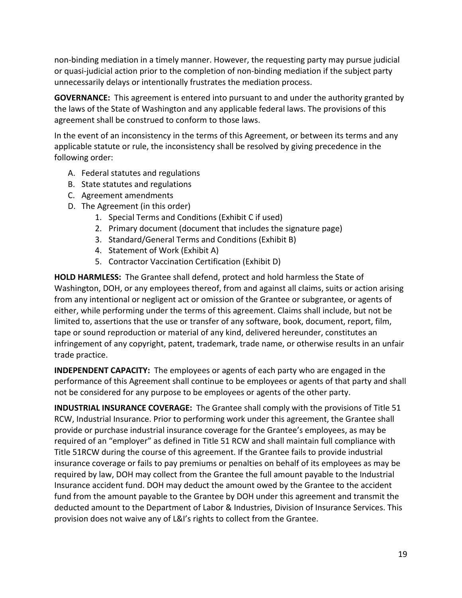non-binding mediation in a timely manner. However, the requesting party may pursue judicial or quasi-judicial action prior to the completion of non-binding mediation if the subject party unnecessarily delays or intentionally frustrates the mediation process.

**GOVERNANCE:** This agreement is entered into pursuant to and under the authority granted by the laws of the State of Washington and any applicable federal laws. The provisions of this agreement shall be construed to conform to those laws.

In the event of an inconsistency in the terms of this Agreement, or between its terms and any applicable statute or rule, the inconsistency shall be resolved by giving precedence in the following order:

- A. Federal statutes and regulations
- B. State statutes and regulations
- C. Agreement amendments
- D. The Agreement (in this order)
	- 1. Special Terms and Conditions (Exhibit C if used)
	- 2. Primary document (document that includes the signature page)
	- 3. Standard/General Terms and Conditions (Exhibit B)
	- 4. Statement of Work (Exhibit A)
	- 5. Contractor Vaccination Certification (Exhibit D)

**HOLD HARMLESS:** The Grantee shall defend, protect and hold harmless the State of Washington, DOH, or any employees thereof, from and against all claims, suits or action arising from any intentional or negligent act or omission of the Grantee or subgrantee, or agents of either, while performing under the terms of this agreement. Claims shall include, but not be limited to, assertions that the use or transfer of any software, book, document, report, film, tape or sound reproduction or material of any kind, delivered hereunder, constitutes an infringement of any copyright, patent, trademark, trade name, or otherwise results in an unfair trade practice.

**INDEPENDENT CAPACITY:** The employees or agents of each party who are engaged in the performance of this Agreement shall continue to be employees or agents of that party and shall not be considered for any purpose to be employees or agents of the other party.

**INDUSTRIAL INSURANCE COVERAGE:** The Grantee shall comply with the provisions of Title 51 RCW, Industrial Insurance. Prior to performing work under this agreement, the Grantee shall provide or purchase industrial insurance coverage for the Grantee's employees, as may be required of an "employer" as defined in Title 51 RCW and shall maintain full compliance with Title 51RCW during the course of this agreement. If the Grantee fails to provide industrial insurance coverage or fails to pay premiums or penalties on behalf of its employees as may be required by law, DOH may collect from the Grantee the full amount payable to the Industrial Insurance accident fund. DOH may deduct the amount owed by the Grantee to the accident fund from the amount payable to the Grantee by DOH under this agreement and transmit the deducted amount to the Department of Labor & Industries, Division of Insurance Services. This provision does not waive any of L&I's rights to collect from the Grantee.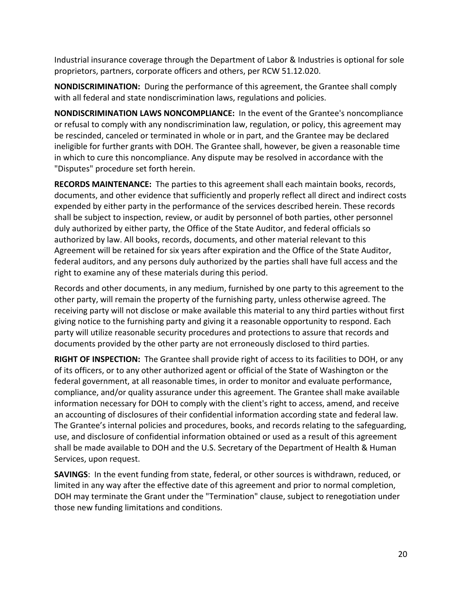Industrial insurance coverage through the Department of Labor & Industries is optional for sole proprietors, partners, corporate officers and others, per RCW 51.12.020.

**NONDISCRIMINATION:** During the performance of this agreement, the Grantee shall comply with all federal and state nondiscrimination laws, regulations and policies.

**NONDISCRIMINATION LAWS NONCOMPLIANCE:** In the event of the Grantee's noncompliance or refusal to comply with any nondiscrimination law, regulation, or policy, this agreement may be rescinded, canceled or terminated in whole or in part, and the Grantee may be declared ineligible for further grants with DOH. The Grantee shall, however, be given a reasonable time in which to cure this noncompliance. Any dispute may be resolved in accordance with the "Disputes" procedure set forth herein.

**RECORDS MAINTENANCE:** The parties to this agreement shall each maintain books, records, documents, and other evidence that sufficiently and properly reflect all direct and indirect costs expended by either party in the performance of the services described herein. These records shall be subject to inspection, review, or audit by personnel of both parties, other personnel duly authorized by either party, the Office of the State Auditor, and federal officials so authorized by law. All books, records, documents, and other material relevant to this Agreement will be retained for six years after expiration and the Office of the State Auditor, federal auditors, and any persons duly authorized by the parties shall have full access and the right to examine any of these materials during this period.

Records and other documents, in any medium, furnished by one party to this agreement to the other party, will remain the property of the furnishing party, unless otherwise agreed. The receiving party will not disclose or make available this material to any third parties without first giving notice to the furnishing party and giving it a reasonable opportunity to respond. Each party will utilize reasonable security procedures and protections to assure that records and documents provided by the other party are not erroneously disclosed to third parties.

**RIGHT OF INSPECTION:** The Grantee shall provide right of access to its facilities to DOH, or any of its officers, or to any other authorized agent or official of the State of Washington or the federal government, at all reasonable times, in order to monitor and evaluate performance, compliance, and/or quality assurance under this agreement. The Grantee shall make available information necessary for DOH to comply with the client's right to access, amend, and receive an accounting of disclosures of their confidential information according state and federal law. The Grantee's internal policies and procedures, books, and records relating to the safeguarding, use, and disclosure of confidential information obtained or used as a result of this agreement shall be made available to DOH and the U.S. Secretary of the Department of Health & Human Services, upon request.

**SAVINGS**: In the event funding from state, federal, or other sources is withdrawn, reduced, or limited in any way after the effective date of this agreement and prior to normal completion, DOH may terminate the Grant under the "Termination" clause, subject to renegotiation under those new funding limitations and conditions.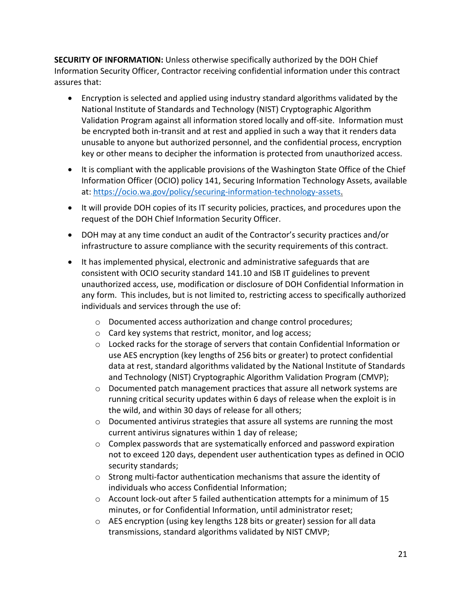**SECURITY OF INFORMATION:** Unless otherwise specifically authorized by the DOH Chief Information Security Officer, Contractor receiving confidential information under this contract assures that:

- Encryption is selected and applied using industry standard algorithms validated by the National Institute of Standards and Technology (NIST) Cryptographic Algorithm Validation Program against all information stored locally and off-site. Information must be encrypted both in-transit and at rest and applied in such a way that it renders data unusable to anyone but authorized personnel, and the confidential process, encryption key or other means to decipher the information is protected from unauthorized access.
- It is compliant with the applicable provisions of the Washington State Office of the Chief Information Officer (OCIO) policy 141, Securing Information Technology Assets, available at: [https://ocio.wa.gov/policy/securing-information-technology-assets.](https://ocio.wa.gov/policy/securing-information-technology-assets)
- It will provide DOH copies of its IT security policies, practices, and procedures upon the request of the DOH Chief Information Security Officer.
- DOH may at any time conduct an audit of the Contractor's security practices and/or infrastructure to assure compliance with the security requirements of this contract.
- It has implemented physical, electronic and administrative safeguards that are consistent with OCIO security standard 141.10 and ISB IT guidelines to prevent unauthorized access, use, modification or disclosure of DOH Confidential Information in any form. This includes, but is not limited to, restricting access to specifically authorized individuals and services through the use of:
	- o Documented access authorization and change control procedures;
	- o Card key systems that restrict, monitor, and log access;
	- $\circ$  Locked racks for the storage of servers that contain Confidential Information or use AES encryption (key lengths of 256 bits or greater) to protect confidential data at rest, standard algorithms validated by the National Institute of Standards and Technology (NIST) Cryptographic Algorithm Validation Program (CMVP);
	- o Documented patch management practices that assure all network systems are running critical security updates within 6 days of release when the exploit is in the wild, and within 30 days of release for all others;
	- o Documented antivirus strategies that assure all systems are running the most current antivirus signatures within 1 day of release;
	- $\circ$  Complex passwords that are systematically enforced and password expiration not to exceed 120 days, dependent user authentication types as defined in OCIO security standards;
	- $\circ$  Strong multi-factor authentication mechanisms that assure the identity of individuals who access Confidential Information;
	- o Account lock-out after 5 failed authentication attempts for a minimum of 15 minutes, or for Confidential Information, until administrator reset;
	- o AES encryption (using key lengths 128 bits or greater) session for all data transmissions, standard algorithms validated by NIST CMVP;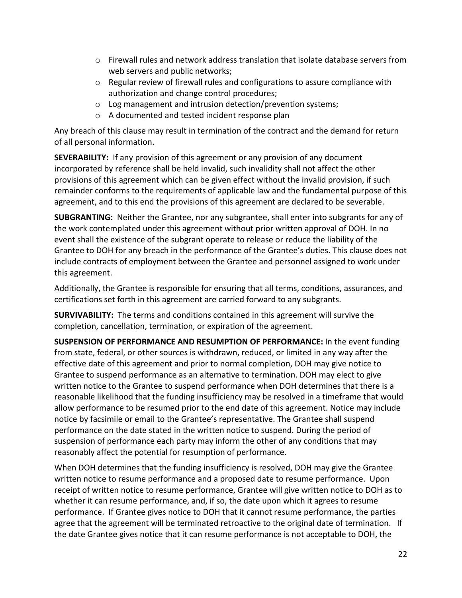- $\circ$  Firewall rules and network address translation that isolate database servers from web servers and public networks;
- $\circ$  Regular review of firewall rules and configurations to assure compliance with authorization and change control procedures;
- o Log management and intrusion detection/prevention systems;
- o A documented and tested incident response plan

Any breach of this clause may result in termination of the contract and the demand for return of all personal information.

**SEVERABILITY:** If any provision of this agreement or any provision of any document incorporated by reference shall be held invalid, such invalidity shall not affect the other provisions of this agreement which can be given effect without the invalid provision, if such remainder conforms to the requirements of applicable law and the fundamental purpose of this agreement, and to this end the provisions of this agreement are declared to be severable.

**SUBGRANTING:** Neither the Grantee, nor any subgrantee, shall enter into subgrants for any of the work contemplated under this agreement without prior written approval of DOH. In no event shall the existence of the subgrant operate to release or reduce the liability of the Grantee to DOH for any breach in the performance of the Grantee's duties. This clause does not include contracts of employment between the Grantee and personnel assigned to work under this agreement.

Additionally, the Grantee is responsible for ensuring that all terms, conditions, assurances, and certifications set forth in this agreement are carried forward to any subgrants.

**SURVIVABILITY:** The terms and conditions contained in this agreement will survive the completion, cancellation, termination, or expiration of the agreement.

**SUSPENSION OF PERFORMANCE AND RESUMPTION OF PERFORMANCE:** In the event funding from state, federal, or other sources is withdrawn, reduced, or limited in any way after the effective date of this agreement and prior to normal completion, DOH may give notice to Grantee to suspend performance as an alternative to termination. DOH may elect to give written notice to the Grantee to suspend performance when DOH determines that there is a reasonable likelihood that the funding insufficiency may be resolved in a timeframe that would allow performance to be resumed prior to the end date of this agreement. Notice may include notice by facsimile or email to the Grantee's representative. The Grantee shall suspend performance on the date stated in the written notice to suspend. During the period of suspension of performance each party may inform the other of any conditions that may reasonably affect the potential for resumption of performance.

When DOH determines that the funding insufficiency is resolved, DOH may give the Grantee written notice to resume performance and a proposed date to resume performance. Upon receipt of written notice to resume performance, Grantee will give written notice to DOH as to whether it can resume performance, and, if so, the date upon which it agrees to resume performance. If Grantee gives notice to DOH that it cannot resume performance, the parties agree that the agreement will be terminated retroactive to the original date of termination. If the date Grantee gives notice that it can resume performance is not acceptable to DOH, the